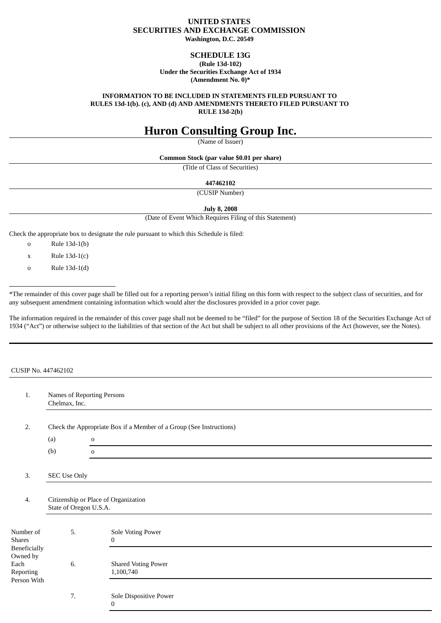## **UNITED STATES SECURITIES AND EXCHANGE COMMISSION Washington, D.C. 20549**

## **SCHEDULE 13G**

**(Rule 13d-102) Under the Securities Exchange Act of 1934 (Amendment No. 0)\***

**INFORMATION TO BE INCLUDED IN STATEMENTS FILED PURSUANT TO RULES 13d-1(b). (c), AND (d) AND AMENDMENTS THERETO FILED PURSUANT TO RULE 13d-2(b)**

# **Huron Consulting Group Inc.**

(Name of Issuer)

**Common Stock (par value \$0.01 per share)**

(Title of Class of Securities)

### **447462102**

(CUSIP Number)

**July 8, 2008**

(Date of Event Which Requires Filing of this Statement)

Check the appropriate box to designate the rule pursuant to which this Schedule is filed:

- o Rule 13d-1(b)
- $x$  Rule 13d-1(c)
- o Rule 13d-1(d)

\*The remainder of this cover page shall be filled out for a reporting person's initial filing on this form with respect to the subject class of securities, and for any subsequent amendment containing information which would alter the disclosures provided in a prior cover page.

The information required in the remainder of this cover page shall not be deemed to be "filed" for the purpose of Section 18 of the Securities Exchange Act of 1934 ("Act") or otherwise subject to the liabilities of that section of the Act but shall be subject to all other provisions of the Act (however, see the Notes).

| CUSIP No. 447462102                          |                                             |                                                                     |  |
|----------------------------------------------|---------------------------------------------|---------------------------------------------------------------------|--|
| 1.                                           | Names of Reporting Persons<br>Chelmax, Inc. |                                                                     |  |
| 2.                                           |                                             | Check the Appropriate Box if a Member of a Group (See Instructions) |  |
|                                              | (a)                                         | $\mathbf 0$                                                         |  |
|                                              | (b)                                         | $\mathbf 0$                                                         |  |
| 3.                                           | <b>SEC Use Only</b>                         |                                                                     |  |
| $\overline{4}$ .                             | State of Oregon U.S.A.                      | Citizenship or Place of Organization                                |  |
| Number of<br><b>Shares</b><br>Beneficially   | 5.                                          | Sole Voting Power<br>$\mathbf{0}$                                   |  |
| Owned by<br>Each<br>Reporting<br>Person With | 6.                                          | <b>Shared Voting Power</b><br>1,100,740                             |  |
|                                              | 7.                                          | Sole Dispositive Power<br>$\Omega$                                  |  |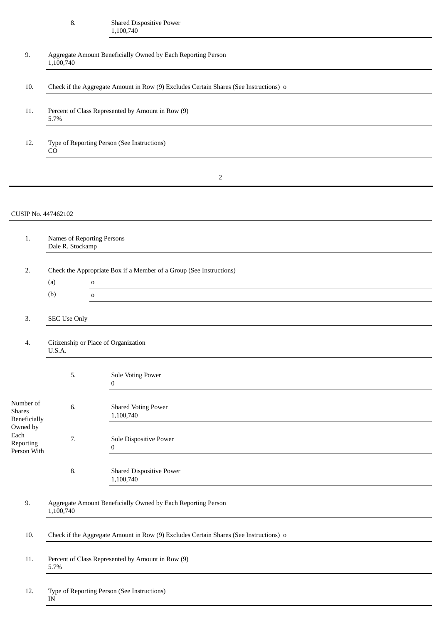#### 8. Shared Dispositive Power 1,100,740

| 9.                                                | 1,100,740                                      | Aggregate Amount Beneficially Owned by Each Reporting Person                          |
|---------------------------------------------------|------------------------------------------------|---------------------------------------------------------------------------------------|
| 10.                                               |                                                | Check if the Aggregate Amount in Row (9) Excludes Certain Shares (See Instructions) o |
| 11.                                               | 5.7%                                           | Percent of Class Represented by Amount in Row (9)                                     |
| 12.                                               | CO                                             | Type of Reporting Person (See Instructions)                                           |
|                                                   |                                                | 2                                                                                     |
| CUSIP No. 447462102                               |                                                |                                                                                       |
| 1.                                                | Names of Reporting Persons<br>Dale R. Stockamp |                                                                                       |
| 2.                                                | (a)                                            | Check the Appropriate Box if a Member of a Group (See Instructions)<br>$\mathbf{o}$   |
|                                                   | (b)                                            | $\mathbf 0$                                                                           |
| 3.                                                | <b>SEC Use Only</b>                            |                                                                                       |
| 4.                                                | U.S.A.                                         | Citizenship or Place of Organization                                                  |
|                                                   | 5.                                             | Sole Voting Power<br>0                                                                |
| Number of<br><b>Shares</b><br><b>Beneficially</b> | 6.                                             | <b>Shared Voting Power</b><br>1,100,740                                               |
| Owned by<br>Each<br>Reporting<br>Person With      | 7.                                             | Sole Dispositive Power<br>$\bf{0}$                                                    |
|                                                   | 8.                                             | Shared Dispositive Power<br>1,100,740                                                 |
| 9.                                                | 1,100,740                                      | Aggregate Amount Beneficially Owned by Each Reporting Person                          |
| 10.                                               |                                                | Check if the Aggregate Amount in Row (9) Excludes Certain Shares (See Instructions) o |
| 11.                                               | 5.7%                                           | Percent of Class Represented by Amount in Row (9)                                     |
| 12.                                               | $\ensuremath{\text{IN}}$                       | Type of Reporting Person (See Instructions)                                           |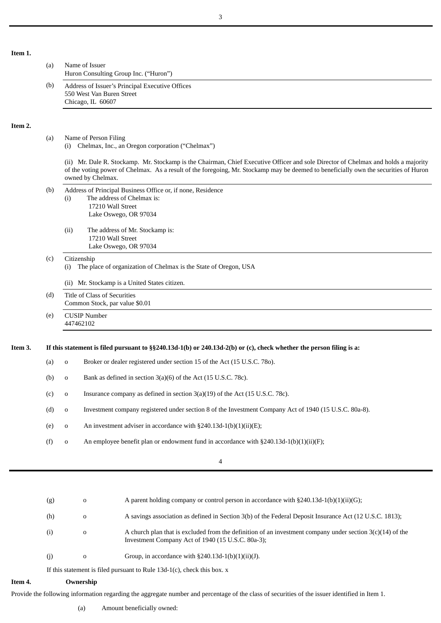## **Item 1.**

**Item 2.**

|         | (a) | Name of Issuer<br>Huron Consulting Group Inc. ("Huron")                                                                                                                                                                                                                                         |
|---------|-----|-------------------------------------------------------------------------------------------------------------------------------------------------------------------------------------------------------------------------------------------------------------------------------------------------|
|         | (b) | Address of Issuer's Principal Executive Offices<br>550 West Van Buren Street<br>Chicago, IL 60607                                                                                                                                                                                               |
| Item 2. |     |                                                                                                                                                                                                                                                                                                 |
|         | (a) | Name of Person Filing<br>Chelmax, Inc., an Oregon corporation ("Chelmax")<br>(i)                                                                                                                                                                                                                |
|         |     | (ii) Mr. Dale R. Stockamp. Mr. Stockamp is the Chairman, Chief Executive Officer and sole Director of Chelmax and holds a majority<br>of the voting power of Chelmax. As a result of the foregoing, Mr. Stockamp may be deemed to beneficially own the securities of Huron<br>owned by Chelmax. |
|         | (b) | Address of Principal Business Office or, if none, Residence<br>The address of Chelmax is:<br>(i)<br>17210 Wall Street<br>Lake Oswego, OR 97034                                                                                                                                                  |
|         |     | The address of Mr. Stockamp is:<br>(ii)<br>17210 Wall Street<br>Lake Oswego, OR 97034                                                                                                                                                                                                           |
|         | (c) | Citizenship<br>The place of organization of Chelmax is the State of Oregon, USA<br>(i)                                                                                                                                                                                                          |
|         |     | (ii) Mr. Stockamp is a United States citizen.                                                                                                                                                                                                                                                   |
|         | (d) | Title of Class of Securities<br>Common Stock, par value \$0.01                                                                                                                                                                                                                                  |
|         | (e) | <b>CUSIP Number</b><br>447462102                                                                                                                                                                                                                                                                |
| Item 3. |     | If this statement is filed pursuant to §§240.13d-1(b) or 240.13d-2(b) or (c), check whether the person filing is a:                                                                                                                                                                             |
|         | (a) | Broker or dealer registered under section 15 of the Act (15 U.S.C. 780).<br>$\mathbf 0$                                                                                                                                                                                                         |
|         | (b) | Bank as defined in section $3(a)(6)$ of the Act (15 U.S.C. 78c).<br>$\mathbf 0$                                                                                                                                                                                                                 |
|         | (c) | Insurance company as defined in section 3(a)(19) of the Act (15 U.S.C. 78c).<br>$\mathbf 0$                                                                                                                                                                                                     |
|         | (d) | Investment company registered under section 8 of the Investment Company Act of 1940 (15 U.S.C. 80a-8).<br>$\mathbf 0$                                                                                                                                                                           |
|         | (e) | An investment adviser in accordance with §240.13d-1(b)(1)(ii)(E);<br>$\mathbf 0$                                                                                                                                                                                                                |
|         | (f) | An employee benefit plan or endowment fund in accordance with §240.13d-1(b)(1)(ii)(F);<br>$\mathbf 0$                                                                                                                                                                                           |
|         |     |                                                                                                                                                                                                                                                                                                 |

4

| (g) | $\Omega$    | A parent holding company or control person in accordance with $\S 240.13d-1(b)(1)(ii)(G)$ ;                                                                      |
|-----|-------------|------------------------------------------------------------------------------------------------------------------------------------------------------------------|
| (h) | $\mathbf 0$ | A savings association as defined in Section 3(b) of the Federal Deposit Insurance Act (12 U.S.C. 1813);                                                          |
| (i) | $\Omega$    | A church plan that is excluded from the definition of an investment company under section $3(c)(14)$ of the<br>Investment Company Act of 1940 (15 U.S.C. 80a-3); |
| (i) | $\Omega$    | Group, in accordance with $\S240.13d-1(b)(1)(ii)(J)$ .                                                                                                           |
|     |             | If this statement is filed purement to Dule 12d $1(e)$ , shools this have $x$                                                                                    |

If this statement is filed pursuant to Rule  $13d-1(c)$ , check this box. x

## **Item 4. Ownership**

Provide the following information regarding the aggregate number and percentage of the class of securities of the issuer identified in Item 1.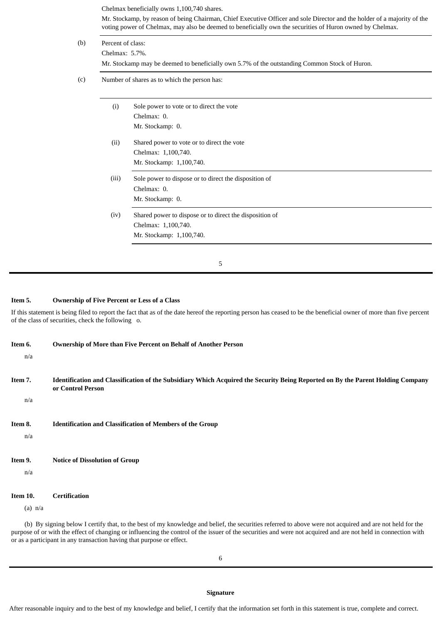| Percent of class:<br>Chelmax: 5.7%.          |                                                         |  |  |
|----------------------------------------------|---------------------------------------------------------|--|--|
|                                              |                                                         |  |  |
| Number of shares as to which the person has: |                                                         |  |  |
| (i)                                          | Sole power to vote or to direct the vote                |  |  |
|                                              | Chelmax: 0.                                             |  |  |
|                                              | Mr. Stockamp: 0.                                        |  |  |
| (ii)                                         | Shared power to vote or to direct the vote              |  |  |
|                                              | Chelmax: 1,100,740.                                     |  |  |
|                                              | Mr. Stockamp: 1,100,740.                                |  |  |
| (iii)                                        | Sole power to dispose or to direct the disposition of   |  |  |
|                                              | Chelmax: 0.                                             |  |  |
|                                              | Mr. Stockamp: 0.                                        |  |  |
| (iv)                                         | Shared power to dispose or to direct the disposition of |  |  |
|                                              | Chelmax: 1,100,740.                                     |  |  |
|                                              | Mr. Stockamp: 1,100,740.                                |  |  |

**Item 5. Ownership of Five Percent or Less of a Class**

If this statement is being filed to report the fact that as of the date hereof the reporting person has ceased to be the beneficial owner of more than five percent of the class of securities, check the following o.

5

| Item 6.               | Ownership of More than Five Percent on Behalf of Another Person                                                                                      |
|-----------------------|------------------------------------------------------------------------------------------------------------------------------------------------------|
| n/a<br>Item 7.        | Identification and Classification of the Subsidiary Which Acquired the Security Being Reported on By the Parent Holding Company<br>or Control Person |
| n/a<br>Item 8.<br>n/a | <b>Identification and Classification of Members of the Group</b>                                                                                     |
| Item 9.<br>n/a        | <b>Notice of Dissolution of Group</b>                                                                                                                |
| Item 10.<br>$(a)$ n/a | <b>Certification</b>                                                                                                                                 |

(b) By signing below I certify that, to the best of my knowledge and belief, the securities referred to above were not acquired and are not held for the purpose of or with the effect of changing or influencing the control of the issuer of the securities and were not acquired and are not held in connection with or as a participant in any transaction having that purpose or effect.

After reasonable inquiry and to the best of my knowledge and belief, I certify that the information set forth in this statement is true, complete and correct.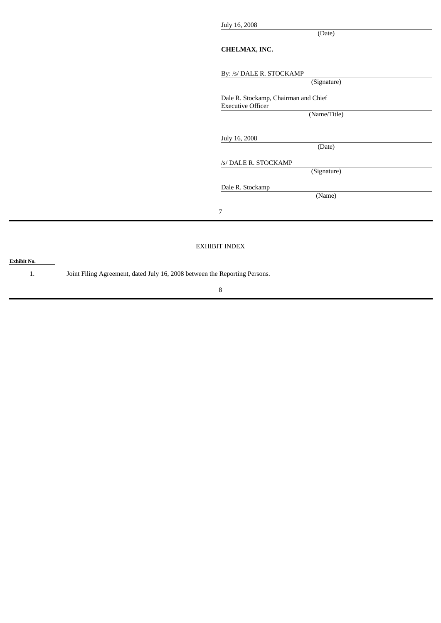July 16, 2008

(Date)

## **CHELMAX, INC.**

By: /s/ DALE R. STOCKAMP

| DY: /S/ DALE R. STOCKAMP             |
|--------------------------------------|
| (Signature)                          |
| Dale R. Stockamp, Chairman and Chief |
| <b>Executive Officer</b>             |
| (Name/Title)                         |
| July 16, 2008                        |
| (Date)                               |
| /s/ DALE R. STOCKAMP                 |
| (Signature)                          |
| Dale R. Stockamp                     |
| (Name)                               |
| $\overline{7}$                       |
|                                      |
| <b>EXHIBIT INDEX</b>                 |
|                                      |

8

1. Joint Filing Agreement, dated July 16, 2008 between the Reporting Persons.

**Exhibit No.**